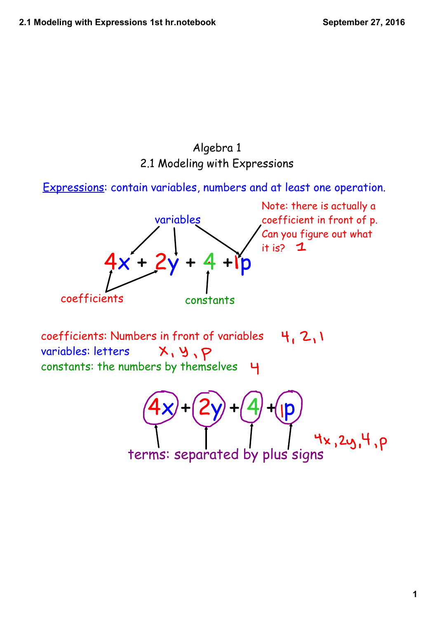## Algebra 1 2.1 Modeling with Expressions

Expressions: contain variables, numbers and at least one operation.



Note: there is actually a coefficient in front of p. Can you figure out what it is?  $1$ 

coefficients: Numbers in front of variables 4.2.1 variables: letters  $X, Y, P$ constants: the numbers by themselves

 $(4x) + (2y) + (4) + (pp)$ terms: separated by plus signs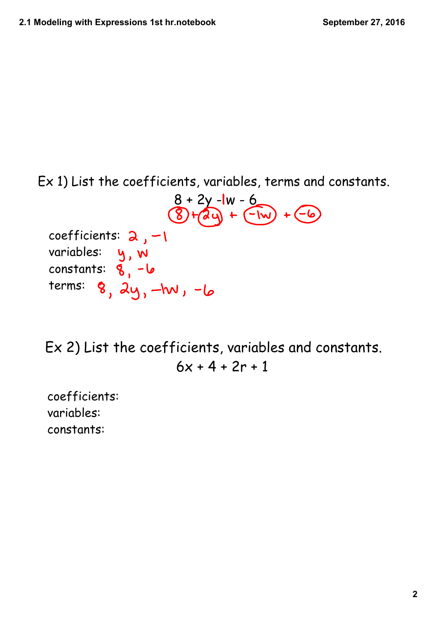Ex 1) List the coefficients, variables, terms and constants.

 $8 + 2y - 1w - 6$ <br> $8 + 2y - 1w - 6$ <br> $8 + 2y - 1w - 6$ coefficients:  $2, -1$ variables: constants:  $terms: 8, 2y, -lw, -b$ 

Ex 2) List the coefficients, variables and constants.  $6x + 4 + 2r + 1$ 

coefficients: variables: constants: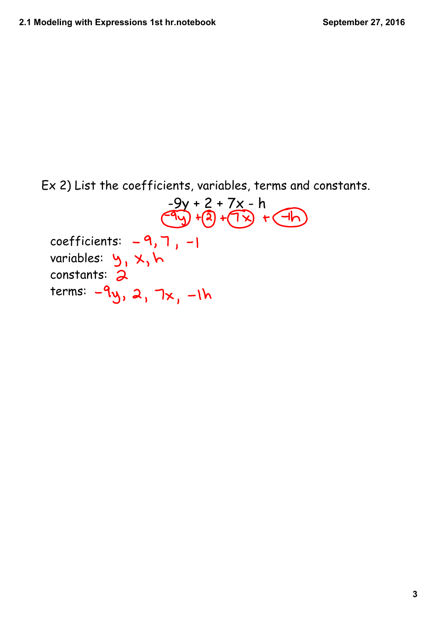Ex 2) List the coefficients, variables, terms and constants.  $-9y + 2 + 7x - h$ <br> $-9y + 2 + 7x - h$ <br> $-9y + 2 + 7x - h$ coefficients:  $-9, 7, -1$ variables: constants: terms:  $-9y$ , 2, 7x,  $-1h$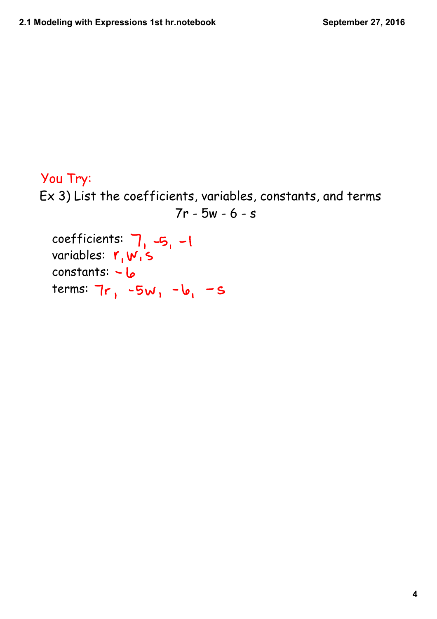# Ex 3) List the coefficients, variables, constants, and terms 7r - 5w - 6 - s coefficients:  $7, -5, -1$ You Try:

variables:  $r_{1}w_{1}s$ constants:  $-6$ terms:  $7r_1 -5w_1 - b_1 - s$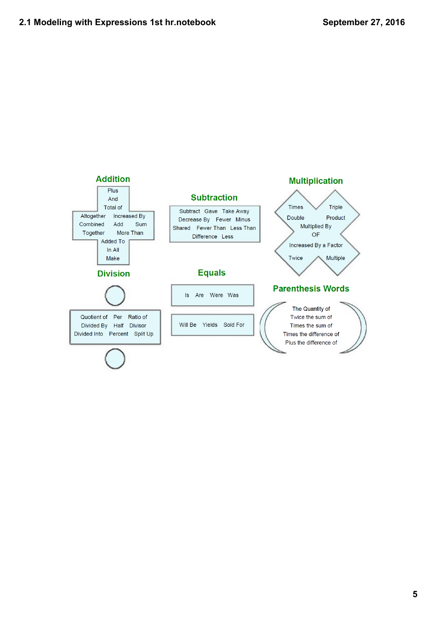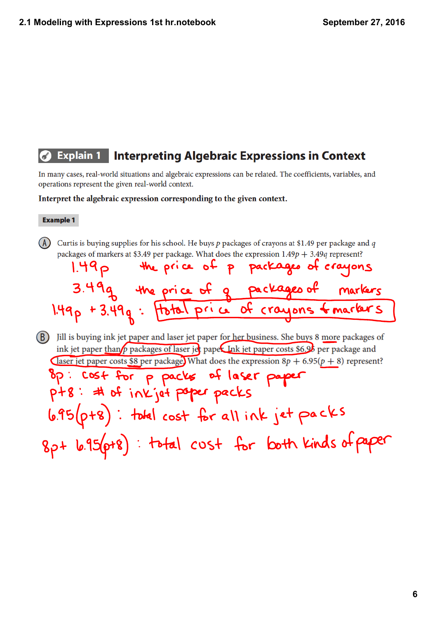#### **Explain 1 Interpreting Algebraic Expressions in Context** 【ď

In many cases, real-world situations and algebraic expressions can be related. The coefficients, variables, and operations represent the given real-world context.

Interpret the algebraic expression corresponding to the given context.

#### **Example 1**

 $(A)$ Curtis is buying supplies for his school. He buys  $p$  packages of crayons at \$1.49 per package and  $q$ packages of markers at \$3.49 per package. What does the expression  $1.49p + 3.49q$  represent?

the price of p packages of cras  $1.49<sub>P</sub>$ the price of q packages of  $1.49p + 3.49q$ price of crayons Hotal

(B) Jill is buying ink jet paper and laser jet paper for her business. She buys 8 more packages of ink jet paper than  $\rho$  packages of laser jet paper. Ink jet paper costs \$6.95 per package and Claser jet paper costs \$8 per package. What does the expression  $8p + 6.95(p + 8)$  represent?  $\bullet$  $\mathbf{r}$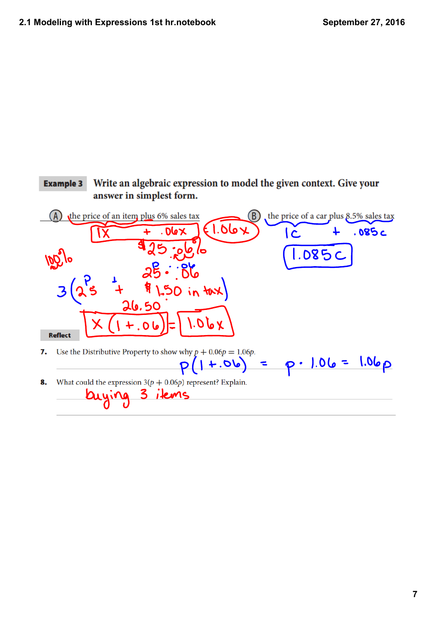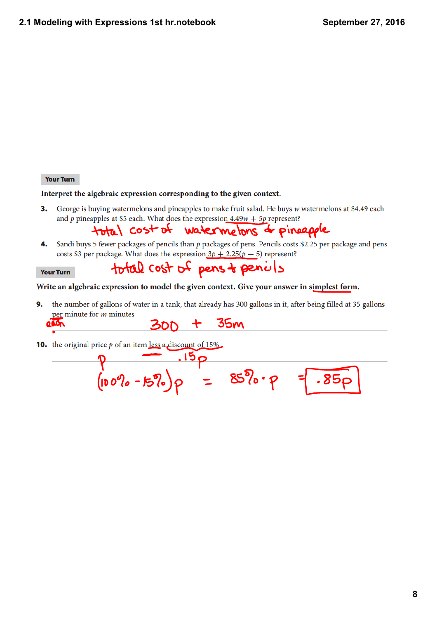**Your Turn** 

 $\blacksquare$ 

Interpret the algebraic expression corresponding to the given context.

George is buying watermelons and pineapples to make fruit salad. He buys w watermelons at \$4.49 each 3. and p pineapples at \$5 each. What does the expression  $4.49w + 5p$  represent?

total cost of watermelons d'pineapple

Sandi buys 5 fewer packages of pencils than  $p$  packages of pens. Pencils costs \$2.25 per package and pens 4. costs \$3 per package. What does the expression  $3p + 2.25(p - 5)$  represent?

#### total cost of pens + pencils **Your Turn**

### Write an algebraic expression to model the given context. Give your answer in simplest form.

 $9 - 15p$ <br> $(10000 - 1570) p = 8570 p$ 

the number of gallons of water in a tank, that already has 300 gallons in it, after being filled at 35 gallons 9. per minute for  $m$  minutes  $300 + 35m$  $0000$ 

**10.** the original price  $p$  of an item less a discount of 15%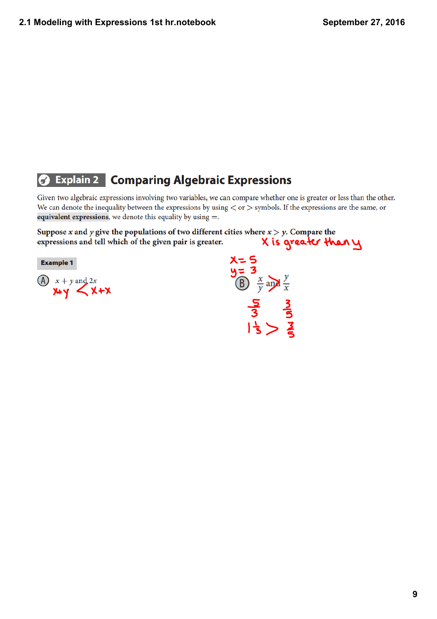#### **Explain 2 Comparing Algebraic Expressions**  $\sigma$

Given two algebraic expressions involving two variables, we can compare whether one is greater or less than the other. We can denote the inequality between the expressions by using  $\langle$  or  $\rangle$  symbols. If the expressions are the same, or equivalent expressions, we denote this equality by using  $=$ .

Suppose x and y give the populations of two different cities where  $x > y$ . Compare the X is greater than y expressions and tell which of the given pair is greater.

**Example 1** 

 $\overrightarrow{A}$   $x + y$  and 2x<br>  $\overrightarrow{X}$   $\overrightarrow{X}$   $\overrightarrow{X}$   $\overrightarrow{X}$ 

 $x=5$ <br> $y=3$ <br> $y=\frac{x}{y}$  and  $\frac{y}{x}$  $\frac{5}{3}$ <br> $\frac{3}{3}$ <br> $\geq$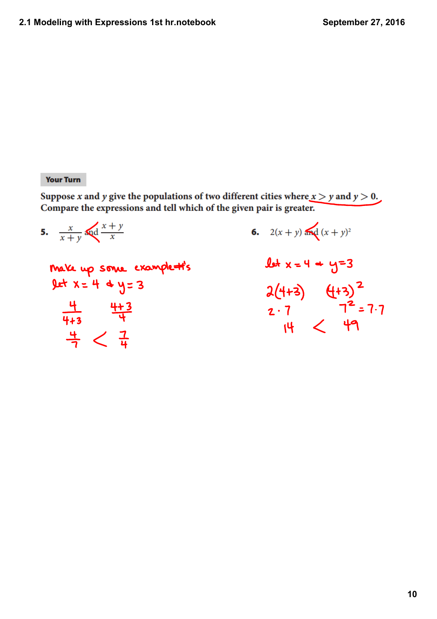### **Your Turn**

 $\frac{4}{7}<\frac{7}{4}$ 

Suppose x and y give the populations of two different cities where  $x > y$  and  $y > 0$ . Compare the expressions and tell which of the given pair is greater.

5.  $\frac{x}{x+y}$  and  $\frac{x+y}{x}$ 6.  $2(x + y)$  and  $(x + y)^2$  $let x = 4 + y = 3$ Make up some example #'s  $Let x = 4$  + y= 3  $2(4+3)$   $4+3$ <sup>2</sup><br>2.7 7<sup>2</sup>=7.7<br>14 < 49  $\frac{4}{4+3}$   $\frac{4+3}{4}$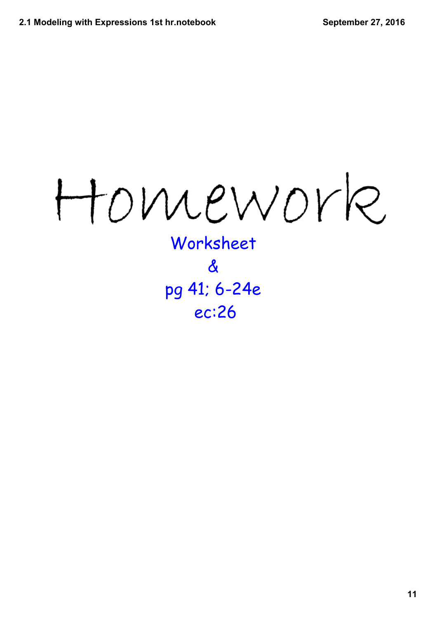Homework

Worksheet & pg 41; 6-24e ec:26